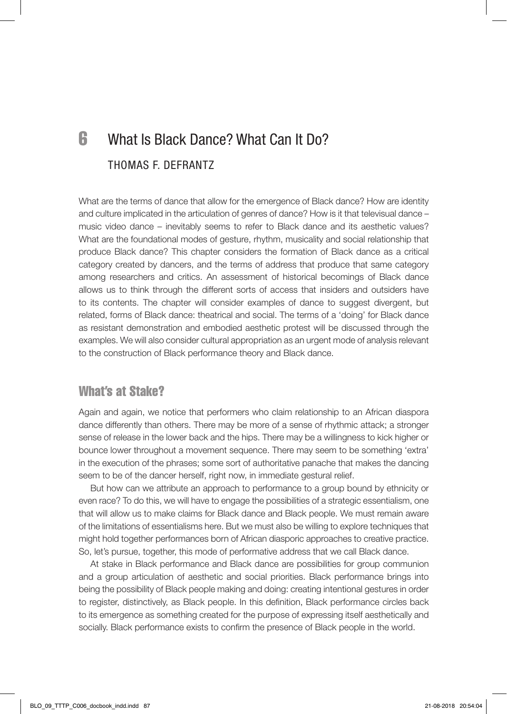# **6** What Is Black Dance? What Can It Do? THOMAS F. DEFRANTZ

What are the terms of dance that allow for the emergence of Black dance? How are identity and culture implicated in the articulation of genres of dance? How is it that televisual dance – music video dance – inevitably seems to refer to Black dance and its aesthetic values? What are the foundational modes of gesture, rhythm, musicality and social relationship that produce Black dance? This chapter considers the formation of Black dance as a critical category created by dancers, and the terms of address that produce that same category among researchers and critics. An assessment of historical becomings of Black dance allows us to think through the different sorts of access that insiders and outsiders have to its contents. The chapter will consider examples of dance to suggest divergent, but related, forms of Black dance: theatrical and social. The terms of a 'doing' for Black dance as resistant demonstration and embodied aesthetic protest will be discussed through the examples. We will also consider cultural appropriation as an urgent mode of analysis relevant to the construction of Black performance theory and Black dance.

# What's at Stake?

Again and again, we notice that performers who claim relationship to an African diaspora dance differently than others. There may be more of a sense of rhythmic attack; a stronger sense of release in the lower back and the hips. There may be a willingness to kick higher or bounce lower throughout a movement sequence. There may seem to be something 'extra' in the execution of the phrases; some sort of authoritative panache that makes the dancing seem to be of the dancer herself, right now, in immediate gestural relief.

But how can we attribute an approach to performance to a group bound by ethnicity or even race? To do this, we will have to engage the possibilities of a strategic essentialism, one that will allow us to make claims for Black dance and Black people. We must remain aware of the limitations of essentialisms here. But we must also be willing to explore techniques that might hold together performances born of African diasporic approaches to creative practice. So, let's pursue, together, this mode of performative address that we call Black dance.

At stake in Black performance and Black dance are possibilities for group communion and a group articulation of aesthetic and social priorities. Black performance brings into being the possibility of Black people making and doing: creating intentional gestures in order to register, distinctively, as Black people. In this definition, Black performance circles back to its emergence as something created for the purpose of expressing itself aesthetically and socially. Black performance exists to confirm the presence of Black people in the world.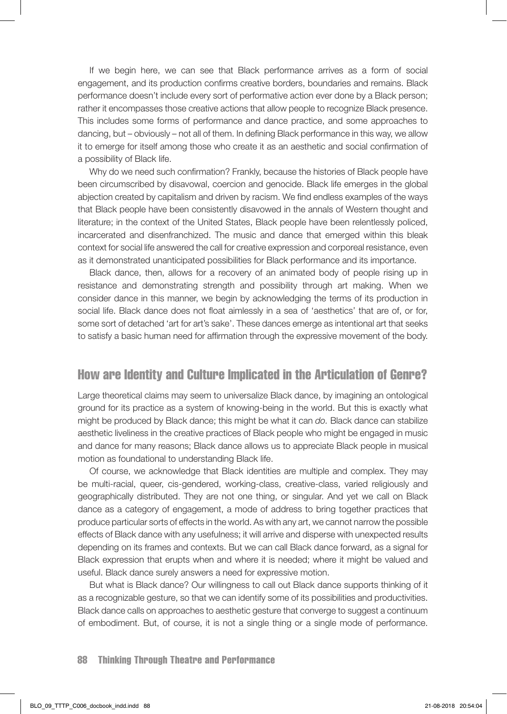If we begin here, we can see that Black performance arrives as a form of social engagement, and its production confirms creative borders, boundaries and remains. Black performance doesn't include every sort of performative action ever done by a Black person; rather it encompasses those creative actions that allow people to recognize Black presence. This includes some forms of performance and dance practice, and some approaches to dancing, but – obviously – not all of them. In defining Black performance in this way, we allow it to emerge for itself among those who create it as an aesthetic and social confirmation of a possibility of Black life.

Why do we need such confirmation? Frankly, because the histories of Black people have been circumscribed by disavowal, coercion and genocide. Black life emerges in the global abjection created by capitalism and driven by racism. We find endless examples of the ways that Black people have been consistently disavowed in the annals of Western thought and literature; in the context of the United States, Black people have been relentlessly policed, incarcerated and disenfranchized. The music and dance that emerged within this bleak context for social life answered the call for creative expression and corporeal resistance, even as it demonstrated unanticipated possibilities for Black performance and its importance.

Black dance, then, allows for a recovery of an animated body of people rising up in resistance and demonstrating strength and possibility through art making. When we consider dance in this manner, we begin by acknowledging the terms of its production in social life. Black dance does not float aimlessly in a sea of 'aesthetics' that are of, or for, some sort of detached 'art for art's sake'. These dances emerge as intentional art that seeks to satisfy a basic human need for affirmation through the expressive movement of the body.

### How are Identity and Culture Implicated in the Articulation of Genre?

Large theoretical claims may seem to universalize Black dance, by imagining an ontological ground for its practice as a system of knowing-being in the world. But this is exactly what might be produced by Black dance; this might be what it can *do.* Black dance can stabilize aesthetic liveliness in the creative practices of Black people who might be engaged in music and dance for many reasons; Black dance allows us to appreciate Black people in musical motion as foundational to understanding Black life.

Of course, we acknowledge that Black identities are multiple and complex. They may be multi-racial, queer, cis-gendered, working-class, creative-class, varied religiously and geographically distributed. They are not one thing, or singular. And yet we call on Black dance as a category of engagement, a mode of address to bring together practices that produce particular sorts of effects in the world. As with any art, we cannot narrow the possible effects of Black dance with any usefulness; it will arrive and disperse with unexpected results depending on its frames and contexts. But we can call Black dance forward, as a signal for Black expression that erupts when and where it is needed; where it might be valued and useful. Black dance surely answers a need for expressive motion.

But what is Black dance? Our willingness to call out Black dance supports thinking of it as a recognizable gesture, so that we can identify some of its possibilities and productivities. Black dance calls on approaches to aesthetic gesture that converge to suggest a continuum of embodiment. But, of course, it is not a single thing or a single mode of performance.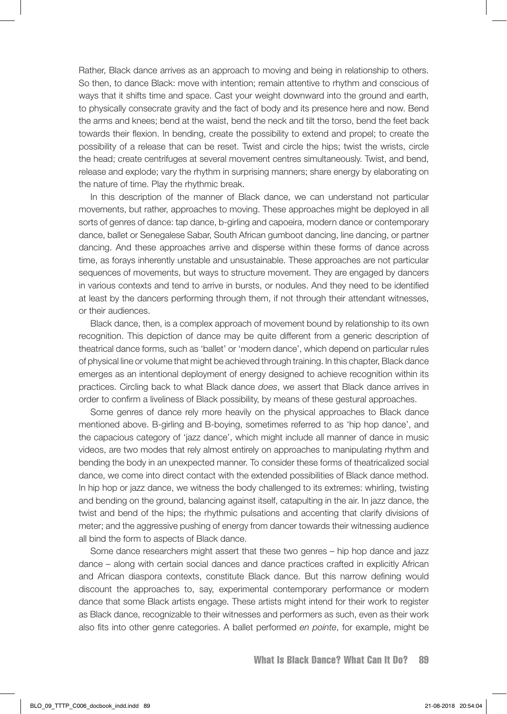Rather, Black dance arrives as an approach to moving and being in relationship to others. So then, to dance Black: move with intention; remain attentive to rhythm and conscious of ways that it shifts time and space. Cast your weight downward into the ground and earth, to physically consecrate gravity and the fact of body and its presence here and now. Bend the arms and knees; bend at the waist, bend the neck and tilt the torso, bend the feet back towards their flexion. In bending, create the possibility to extend and propel; to create the possibility of a release that can be reset. Twist and circle the hips; twist the wrists, circle the head; create centrifuges at several movement centres simultaneously. Twist, and bend, release and explode; vary the rhythm in surprising manners; share energy by elaborating on the nature of time. Play the rhythmic break.

In this description of the manner of Black dance, we can understand not particular movements, but rather, approaches to moving. These approaches might be deployed in all sorts of genres of dance: tap dance, b-girling and capoeira, modern dance or contemporary dance, ballet or Senegalese Sabar, South African gumboot dancing, line dancing, or partner dancing. And these approaches arrive and disperse within these forms of dance across time, as forays inherently unstable and unsustainable. These approaches are not particular sequences of movements, but ways to structure movement. They are engaged by dancers in various contexts and tend to arrive in bursts, or nodules. And they need to be identified at least by the dancers performing through them, if not through their attendant witnesses, or their audiences.

Black dance, then, is a complex approach of movement bound by relationship to its own recognition. This depiction of dance may be quite different from a generic description of theatrical dance forms, such as 'ballet' or 'modern dance', which depend on particular rules of physical line or volume that might be achieved through training. In this chapter, Black dance emerges as an intentional deployment of energy designed to achieve recognition within its practices. Circling back to what Black dance *does*, we assert that Black dance arrives in order to confirm a liveliness of Black possibility, by means of these gestural approaches.

Some genres of dance rely more heavily on the physical approaches to Black dance mentioned above. B-girling and B-boying, sometimes referred to as 'hip hop dance', and the capacious category of 'jazz dance', which might include all manner of dance in music videos, are two modes that rely almost entirely on approaches to manipulating rhythm and bending the body in an unexpected manner. To consider these forms of theatricalized social dance, we come into direct contact with the extended possibilities of Black dance method. In hip hop or jazz dance, we witness the body challenged to its extremes: whirling, twisting and bending on the ground, balancing against itself, catapulting in the air. In jazz dance, the twist and bend of the hips; the rhythmic pulsations and accenting that clarify divisions of meter; and the aggressive pushing of energy from dancer towards their witnessing audience all bind the form to aspects of Black dance.

Some dance researchers might assert that these two genres – hip hop dance and jazz dance – along with certain social dances and dance practices crafted in explicitly African and African diaspora contexts, constitute Black dance. But this narrow defining would discount the approaches to, say, experimental contemporary performance or modern dance that some Black artists engage. These artists might intend for their work to register as Black dance, recognizable to their witnesses and performers as such, even as their work also fits into other genre categories. A ballet performed *en pointe*, for example, might be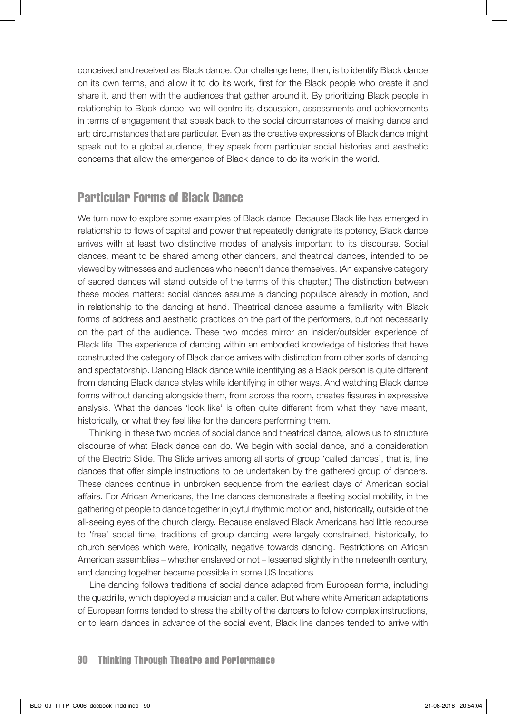conceived and received as Black dance. Our challenge here, then, is to identify Black dance on its own terms, and allow it to do its work, first for the Black people who create it and share it, and then with the audiences that gather around it. By prioritizing Black people in relationship to Black dance, we will centre its discussion, assessments and achievements in terms of engagement that speak back to the social circumstances of making dance and art; circumstances that are particular. Even as the creative expressions of Black dance might speak out to a global audience, they speak from particular social histories and aesthetic concerns that allow the emergence of Black dance to do its work in the world.

## Particular Forms of Black Dance

We turn now to explore some examples of Black dance. Because Black life has emerged in relationship to flows of capital and power that repeatedly denigrate its potency, Black dance arrives with at least two distinctive modes of analysis important to its discourse. Social dances, meant to be shared among other dancers, and theatrical dances, intended to be viewed by witnesses and audiences who needn't dance themselves. (An expansive category of sacred dances will stand outside of the terms of this chapter.) The distinction between these modes matters: social dances assume a dancing populace already in motion, and in relationship to the dancing at hand. Theatrical dances assume a familiarity with Black forms of address and aesthetic practices on the part of the performers, but not necessarily on the part of the audience. These two modes mirror an insider/outsider experience of Black life. The experience of dancing within an embodied knowledge of histories that have constructed the category of Black dance arrives with distinction from other sorts of dancing and spectatorship. Dancing Black dance while identifying as a Black person is quite different from dancing Black dance styles while identifying in other ways. And watching Black dance forms without dancing alongside them, from across the room, creates fissures in expressive analysis. What the dances 'look like' is often quite different from what they have meant, historically, or what they feel like for the dancers performing them.

Thinking in these two modes of social dance and theatrical dance, allows us to structure discourse of what Black dance can do. We begin with social dance, and a consideration of the Electric Slide. The Slide arrives among all sorts of group 'called dances', that is, line dances that offer simple instructions to be undertaken by the gathered group of dancers. These dances continue in unbroken sequence from the earliest days of American social affairs. For African Americans, the line dances demonstrate a fleeting social mobility, in the gathering of people to dance together in joyful rhythmic motion and, historically, outside of the all-seeing eyes of the church clergy. Because enslaved Black Americans had little recourse to 'free' social time, traditions of group dancing were largely constrained, historically, to church services which were, ironically, negative towards dancing. Restrictions on African American assemblies – whether enslaved or not – lessened slightly in the nineteenth century, and dancing together became possible in some US locations.

Line dancing follows traditions of social dance adapted from European forms, including the quadrille, which deployed a musician and a caller. But where white American adaptations of European forms tended to stress the ability of the dancers to follow complex instructions, or to learn dances in advance of the social event, Black line dances tended to arrive with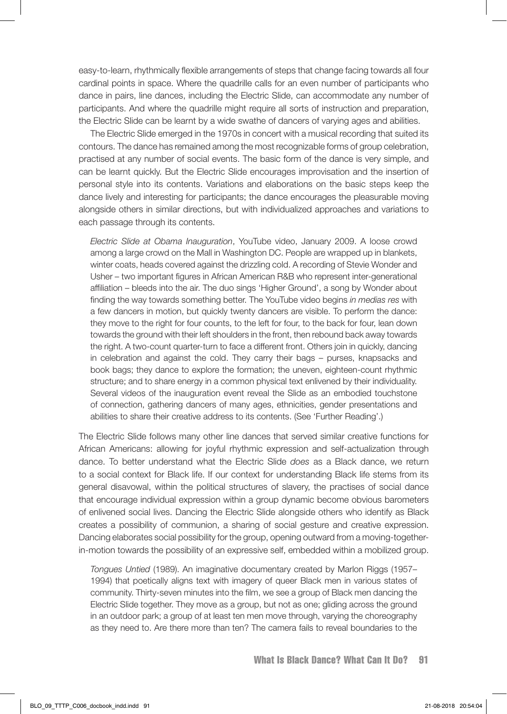easy-to-learn, rhythmically flexible arrangements of steps that change facing towards all four cardinal points in space. Where the quadrille calls for an even number of participants who dance in pairs, line dances, including the Electric Slide, can accommodate any number of participants. And where the quadrille might require all sorts of instruction and preparation, the Electric Slide can be learnt by a wide swathe of dancers of varying ages and abilities.

The Electric Slide emerged in the 1970s in concert with a musical recording that suited its contours. The dance has remained among the most recognizable forms of group celebration, practised at any number of social events. The basic form of the dance is very simple, and can be learnt quickly. But the Electric Slide encourages improvisation and the insertion of personal style into its contents. Variations and elaborations on the basic steps keep the dance lively and interesting for participants; the dance encourages the pleasurable moving alongside others in similar directions, but with individualized approaches and variations to each passage through its contents.

*Electric Slide at Obama Inauguration*, YouTube video, January 2009. A loose crowd among a large crowd on the Mall in Washington DC. People are wrapped up in blankets, winter coats, heads covered against the drizzling cold. A recording of Stevie Wonder and Usher – two important figures in African American R&B who represent inter-generational affiliation – bleeds into the air. The duo sings 'Higher Ground', a song by Wonder about finding the way towards something better. The YouTube video begins *in medias res* with a few dancers in motion, but quickly twenty dancers are visible. To perform the dance: they move to the right for four counts, to the left for four, to the back for four, lean down towards the ground with their left shoulders in the front, then rebound back away towards the right. A two-count quarter-turn to face a different front. Others join in quickly, dancing in celebration and against the cold. They carry their bags – purses, knapsacks and book bags; they dance to explore the formation; the uneven, eighteen-count rhythmic structure; and to share energy in a common physical text enlivened by their individuality. Several videos of the inauguration event reveal the Slide as an embodied touchstone of connection, gathering dancers of many ages, ethnicities, gender presentations and abilities to share their creative address to its contents. (See 'Further Reading'.)

The Electric Slide follows many other line dances that served similar creative functions for African Americans: allowing for joyful rhythmic expression and self-actualization through dance. To better understand what the Electric Slide *does* as a Black dance, we return to a social context for Black life. If our context for understanding Black life stems from its general disavowal, within the political structures of slavery, the practises of social dance that encourage individual expression within a group dynamic become obvious barometers of enlivened social lives. Dancing the Electric Slide alongside others who identify as Black creates a possibility of communion, a sharing of social gesture and creative expression. Dancing elaborates social possibility for the group, opening outward from a moving-togetherin-motion towards the possibility of an expressive self, embedded within a mobilized group.

*Tongues Untied* (1989). An imaginative documentary created by Marlon Riggs (1957– 1994) that poetically aligns text with imagery of queer Black men in various states of community. Thirty-seven minutes into the film, we see a group of Black men dancing the Electric Slide together. They move as a group, but not as one; gliding across the ground in an outdoor park; a group of at least ten men move through, varying the choreography as they need to. Are there more than ten? The camera fails to reveal boundaries to the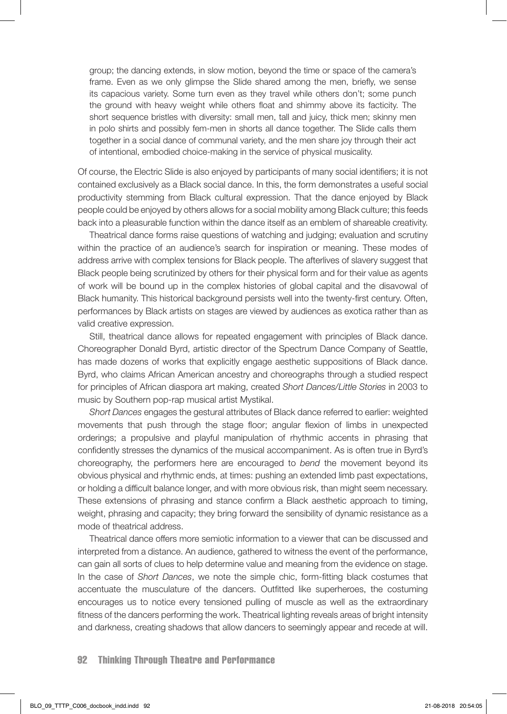group; the dancing extends, in slow motion, beyond the time or space of the camera's frame. Even as we only glimpse the Slide shared among the men, briefly, we sense its capacious variety. Some turn even as they travel while others don't; some punch the ground with heavy weight while others float and shimmy above its facticity. The short sequence bristles with diversity: small men, tall and juicy, thick men; skinny men in polo shirts and possibly fem-men in shorts all dance together. The Slide calls them together in a social dance of communal variety, and the men share joy through their act of intentional, embodied choice-making in the service of physical musicality.

Of course, the Electric Slide is also enjoyed by participants of many social identifiers; it is not contained exclusively as a Black social dance. In this, the form demonstrates a useful social productivity stemming from Black cultural expression. That the dance enjoyed by Black people could be enjoyed by others allows for a social mobility among Black culture; this feeds back into a pleasurable function within the dance itself as an emblem of shareable creativity.

Theatrical dance forms raise questions of watching and judging; evaluation and scrutiny within the practice of an audience's search for inspiration or meaning. These modes of address arrive with complex tensions for Black people. The afterlives of slavery suggest that Black people being scrutinized by others for their physical form and for their value as agents of work will be bound up in the complex histories of global capital and the disavowal of Black humanity. This historical background persists well into the twenty-first century. Often, performances by Black artists on stages are viewed by audiences as exotica rather than as valid creative expression.

Still, theatrical dance allows for repeated engagement with principles of Black dance. Choreographer Donald Byrd, artistic director of the Spectrum Dance Company of Seattle, has made dozens of works that explicitly engage aesthetic suppositions of Black dance. Byrd, who claims African American ancestry and choreographs through a studied respect for principles of African diaspora art making, created *Short Dances/Little Stories* in 2003 to music by Southern pop-rap musical artist Mystikal.

*Short Dances* engages the gestural attributes of Black dance referred to earlier: weighted movements that push through the stage floor; angular flexion of limbs in unexpected orderings; a propulsive and playful manipulation of rhythmic accents in phrasing that confidently stresses the dynamics of the musical accompaniment. As is often true in Byrd's choreography, the performers here are encouraged to *bend* the movement beyond its obvious physical and rhythmic ends, at times: pushing an extended limb past expectations, or holding a difficult balance longer, and with more obvious risk, than might seem necessary. These extensions of phrasing and stance confirm a Black aesthetic approach to timing, weight, phrasing and capacity; they bring forward the sensibility of dynamic resistance as a mode of theatrical address.

Theatrical dance offers more semiotic information to a viewer that can be discussed and interpreted from a distance. An audience, gathered to witness the event of the performance, can gain all sorts of clues to help determine value and meaning from the evidence on stage. In the case of *Short Dances*, we note the simple chic, form-fitting black costumes that accentuate the musculature of the dancers. Outfitted like superheroes, the costuming encourages us to notice every tensioned pulling of muscle as well as the extraordinary fitness of the dancers performing the work. Theatrical lighting reveals areas of bright intensity and darkness, creating shadows that allow dancers to seemingly appear and recede at will.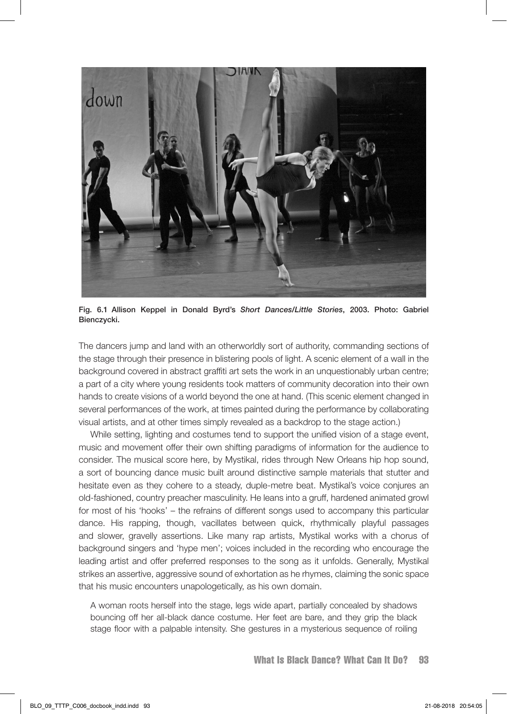

Fig. 6.1 Allison Keppel in Donald Byrd's *Short Dances/Little Stories*, 2003. Photo: Gabriel Bienczycki.

The dancers jump and land with an otherworldly sort of authority, commanding sections of the stage through their presence in blistering pools of light. A scenic element of a wall in the background covered in abstract graffiti art sets the work in an unquestionably urban centre; a part of a city where young residents took matters of community decoration into their own hands to create visions of a world beyond the one at hand. (This scenic element changed in several performances of the work, at times painted during the performance by collaborating visual artists, and at other times simply revealed as a backdrop to the stage action.)

While setting, lighting and costumes tend to support the unified vision of a stage event, music and movement offer their own shifting paradigms of information for the audience to consider. The musical score here, by Mystikal, rides through New Orleans hip hop sound, a sort of bouncing dance music built around distinctive sample materials that stutter and hesitate even as they cohere to a steady, duple-metre beat. Mystikal's voice conjures an old-fashioned, country preacher masculinity. He leans into a gruff, hardened animated growl for most of his 'hooks' – the refrains of different songs used to accompany this particular dance. His rapping, though, vacillates between quick, rhythmically playful passages and slower, gravelly assertions. Like many rap artists, Mystikal works with a chorus of background singers and 'hype men'; voices included in the recording who encourage the leading artist and offer preferred responses to the song as it unfolds. Generally, Mystikal strikes an assertive, aggressive sound of exhortation as he rhymes, claiming the sonic space that his music encounters unapologetically, as his own domain.

A woman roots herself into the stage, legs wide apart, partially concealed by shadows bouncing off her all-black dance costume. Her feet are bare, and they grip the black stage floor with a palpable intensity. She gestures in a mysterious sequence of roiling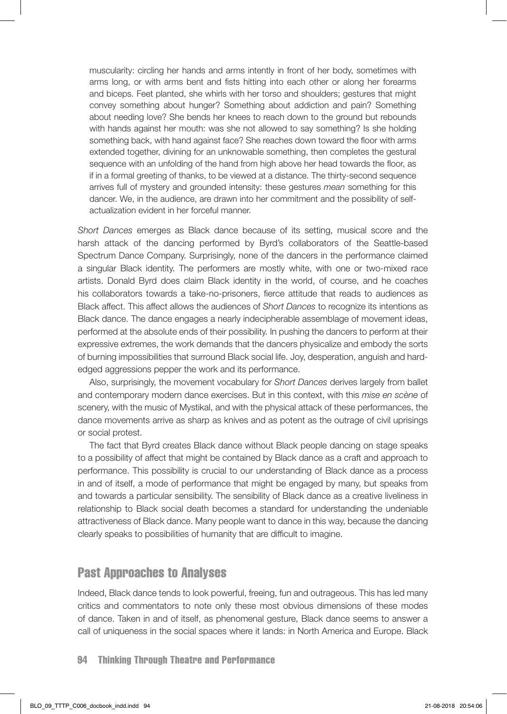muscularity: circling her hands and arms intently in front of her body, sometimes with arms long, or with arms bent and fists hitting into each other or along her forearms and biceps. Feet planted, she whirls with her torso and shoulders; gestures that might convey something about hunger? Something about addiction and pain? Something about needing love? She bends her knees to reach down to the ground but rebounds with hands against her mouth: was she not allowed to say something? Is she holding something back, with hand against face? She reaches down toward the floor with arms extended together, divining for an unknowable something, then completes the gestural sequence with an unfolding of the hand from high above her head towards the floor, as if in a formal greeting of thanks, to be viewed at a distance. The thirty-second sequence arrives full of mystery and grounded intensity: these gestures *mean* something for this dancer. We, in the audience, are drawn into her commitment and the possibility of selfactualization evident in her forceful manner.

*Short Dances* emerges as Black dance because of its setting, musical score and the harsh attack of the dancing performed by Byrd's collaborators of the Seattle-based Spectrum Dance Company. Surprisingly, none of the dancers in the performance claimed a singular Black identity. The performers are mostly white, with one or two-mixed race artists. Donald Byrd does claim Black identity in the world, of course, and he coaches his collaborators towards a take-no-prisoners, fierce attitude that reads to audiences as Black affect. This affect allows the audiences of *Short Dances* to recognize its intentions as Black dance. The dance engages a nearly indecipherable assemblage of movement ideas, performed at the absolute ends of their possibility. In pushing the dancers to perform at their expressive extremes, the work demands that the dancers physicalize and embody the sorts of burning impossibilities that surround Black social life. Joy, desperation, anguish and hardedged aggressions pepper the work and its performance.

Also, surprisingly, the movement vocabulary for *Short Dances* derives largely from ballet and contemporary modern dance exercises. But in this context, with this *mise en scène* of scenery, with the music of Mystikal, and with the physical attack of these performances, the dance movements arrive as sharp as knives and as potent as the outrage of civil uprisings or social protest.

The fact that Byrd creates Black dance without Black people dancing on stage speaks to a possibility of affect that might be contained by Black dance as a craft and approach to performance. This possibility is crucial to our understanding of Black dance as a process in and of itself, a mode of performance that might be engaged by many, but speaks from and towards a particular sensibility. The sensibility of Black dance as a creative liveliness in relationship to Black social death becomes a standard for understanding the undeniable attractiveness of Black dance. Many people want to dance in this way, because the dancing clearly speaks to possibilities of humanity that are difficult to imagine.

#### Past Approaches to Analyses

Indeed, Black dance tends to look powerful, freeing, fun and outrageous. This has led many critics and commentators to note only these most obvious dimensions of these modes of dance. Taken in and of itself, as phenomenal gesture, Black dance seems to answer a call of uniqueness in the social spaces where it lands: in North America and Europe. Black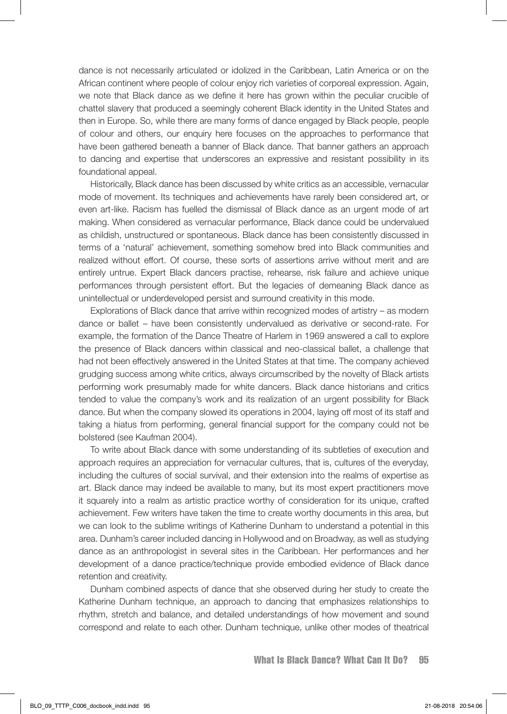dance is not necessarily articulated or idolized in the Caribbean, Latin America or on the African continent where people of colour enjoy rich varieties of corporeal expression. Again, we note that Black dance as we define it here has grown within the peculiar crucible of chattel slavery that produced a seemingly coherent Black identity in the United States and then in Europe. So, while there are many forms of dance engaged by Black people, people of colour and others, our enquiry here focuses on the approaches to performance that have been gathered beneath a banner of Black dance. That banner gathers an approach to dancing and expertise that underscores an expressive and resistant possibility in its foundational appeal.

Historically, Black dance has been discussed by white critics as an accessible, vernacular mode of movement. Its techniques and achievements have rarely been considered art, or even art-like. Racism has fuelled the dismissal of Black dance as an urgent mode of art making. When considered as vernacular performance, Black dance could be undervalued as childish, unstructured or spontaneous. Black dance has been consistently discussed in terms of a 'natural' achievement, something somehow bred into Black communities and realized without effort. Of course, these sorts of assertions arrive without merit and are entirely untrue. Expert Black dancers practise, rehearse, risk failure and achieve unique performances through persistent effort. But the legacies of demeaning Black dance as unintellectual or underdeveloped persist and surround creativity in this mode.

Explorations of Black dance that arrive within recognized modes of artistry – as modern dance or ballet – have been consistently undervalued as derivative or second-rate. For example, the formation of the Dance Theatre of Harlem in 1969 answered a call to explore the presence of Black dancers within classical and neo-classical ballet, a challenge that had not been effectively answered in the United States at that time. The company achieved grudging success among white critics, always circumscribed by the novelty of Black artists performing work presumably made for white dancers. Black dance historians and critics tended to value the company's work and its realization of an urgent possibility for Black dance. But when the company slowed its operations in 2004, laying off most of its staff and taking a hiatus from performing, general financial support for the company could not be bolstered (see Kaufman 2004).

To write about Black dance with some understanding of its subtleties of execution and approach requires an appreciation for vernacular cultures, that is, cultures of the everyday, including the cultures of social survival, and their extension into the realms of expertise as art. Black dance may indeed be available to many, but its most expert practitioners move it squarely into a realm as artistic practice worthy of consideration for its unique, crafted achievement. Few writers have taken the time to create worthy documents in this area, but we can look to the sublime writings of Katherine Dunham to understand a potential in this area. Dunham's career included dancing in Hollywood and on Broadway, as well as studying dance as an anthropologist in several sites in the Caribbean. Her performances and her development of a dance practice/technique provide embodied evidence of Black dance retention and creativity.

Dunham combined aspects of dance that she observed during her study to create the Katherine Dunham technique, an approach to dancing that emphasizes relationships to rhythm, stretch and balance, and detailed understandings of how movement and sound correspond and relate to each other. Dunham technique, unlike other modes of theatrical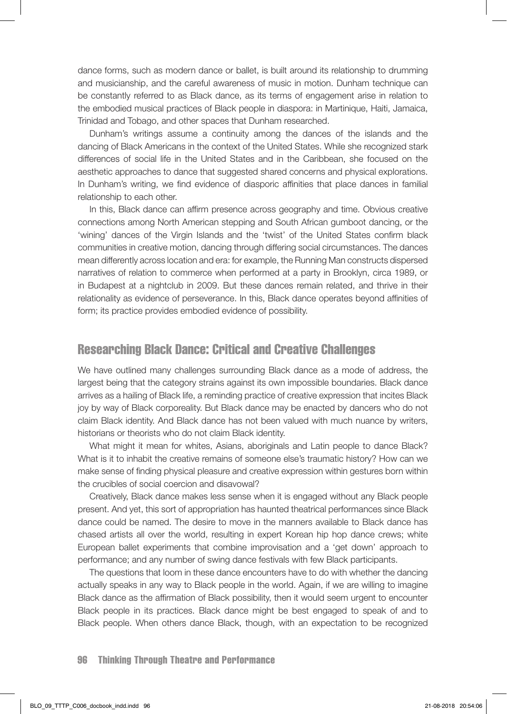dance forms, such as modern dance or ballet, is built around its relationship to drumming and musicianship, and the careful awareness of music in motion. Dunham technique can be constantly referred to as Black dance, as its terms of engagement arise in relation to the embodied musical practices of Black people in diaspora: in Martinique, Haiti, Jamaica, Trinidad and Tobago, and other spaces that Dunham researched.

Dunham's writings assume a continuity among the dances of the islands and the dancing of Black Americans in the context of the United States. While she recognized stark differences of social life in the United States and in the Caribbean, she focused on the aesthetic approaches to dance that suggested shared concerns and physical explorations. In Dunham's writing, we find evidence of diasporic affinities that place dances in familial relationship to each other.

In this, Black dance can affirm presence across geography and time. Obvious creative connections among North American stepping and South African gumboot dancing, or the 'wining' dances of the Virgin Islands and the 'twist' of the United States confirm black communities in creative motion, dancing through differing social circumstances. The dances mean differently across location and era: for example, the Running Man constructs dispersed narratives of relation to commerce when performed at a party in Brooklyn, circa 1989, or in Budapest at a nightclub in 2009. But these dances remain related, and thrive in their relationality as evidence of perseverance. In this, Black dance operates beyond affinities of form; its practice provides embodied evidence of possibility.

### Researching Black Dance: Critical and Creative Challenges

We have outlined many challenges surrounding Black dance as a mode of address, the largest being that the category strains against its own impossible boundaries. Black dance arrives as a hailing of Black life, a reminding practice of creative expression that incites Black joy by way of Black corporeality. But Black dance may be enacted by dancers who do not claim Black identity. And Black dance has not been valued with much nuance by writers, historians or theorists who do not claim Black identity.

What might it mean for whites, Asians, aboriginals and Latin people to dance Black? What is it to inhabit the creative remains of someone else's traumatic history? How can we make sense of finding physical pleasure and creative expression within gestures born within the crucibles of social coercion and disavowal?

Creatively, Black dance makes less sense when it is engaged without any Black people present. And yet, this sort of appropriation has haunted theatrical performances since Black dance could be named. The desire to move in the manners available to Black dance has chased artists all over the world, resulting in expert Korean hip hop dance crews; white European ballet experiments that combine improvisation and a 'get down' approach to performance; and any number of swing dance festivals with few Black participants.

The questions that loom in these dance encounters have to do with whether the dancing actually speaks in any way to Black people in the world. Again, if we are willing to imagine Black dance as the affirmation of Black possibility, then it would seem urgent to encounter Black people in its practices. Black dance might be best engaged to speak of and to Black people. When others dance Black, though, with an expectation to be recognized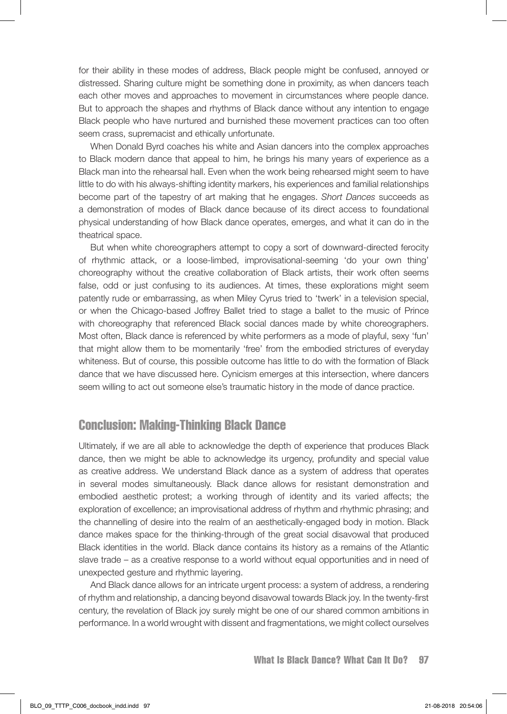for their ability in these modes of address, Black people might be confused, annoyed or distressed. Sharing culture might be something done in proximity, as when dancers teach each other moves and approaches to movement in circumstances where people dance. But to approach the shapes and rhythms of Black dance without any intention to engage Black people who have nurtured and burnished these movement practices can too often seem crass, supremacist and ethically unfortunate.

When Donald Byrd coaches his white and Asian dancers into the complex approaches to Black modern dance that appeal to him, he brings his many years of experience as a Black man into the rehearsal hall. Even when the work being rehearsed might seem to have little to do with his always-shifting identity markers, his experiences and familial relationships become part of the tapestry of art making that he engages. *Short Dances* succeeds as a demonstration of modes of Black dance because of its direct access to foundational physical understanding of how Black dance operates, emerges, and what it can do in the theatrical space.

But when white choreographers attempt to copy a sort of downward-directed ferocity of rhythmic attack, or a loose-limbed, improvisational-seeming 'do your own thing' choreography without the creative collaboration of Black artists, their work often seems false, odd or just confusing to its audiences. At times, these explorations might seem patently rude or embarrassing, as when Miley Cyrus tried to 'twerk' in a television special, or when the Chicago-based Joffrey Ballet tried to stage a ballet to the music of Prince with choreography that referenced Black social dances made by white choreographers. Most often, Black dance is referenced by white performers as a mode of playful, sexy 'fun' that might allow them to be momentarily 'free' from the embodied strictures of everyday whiteness. But of course, this possible outcome has little to do with the formation of Black dance that we have discussed here. Cynicism emerges at this intersection, where dancers seem willing to act out someone else's traumatic history in the mode of dance practice.

### Conclusion: Making-Thinking Black Dance

Ultimately, if we are all able to acknowledge the depth of experience that produces Black dance, then we might be able to acknowledge its urgency, profundity and special value as creative address. We understand Black dance as a system of address that operates in several modes simultaneously. Black dance allows for resistant demonstration and embodied aesthetic protest; a working through of identity and its varied affects; the exploration of excellence; an improvisational address of rhythm and rhythmic phrasing; and the channelling of desire into the realm of an aesthetically-engaged body in motion. Black dance makes space for the thinking-through of the great social disavowal that produced Black identities in the world. Black dance contains its history as a remains of the Atlantic slave trade – as a creative response to a world without equal opportunities and in need of unexpected gesture and rhythmic layering.

And Black dance allows for an intricate urgent process: a system of address, a rendering of rhythm and relationship, a dancing beyond disavowal towards Black joy. In the twenty-first century, the revelation of Black joy surely might be one of our shared common ambitions in performance. In a world wrought with dissent and fragmentations, we might collect ourselves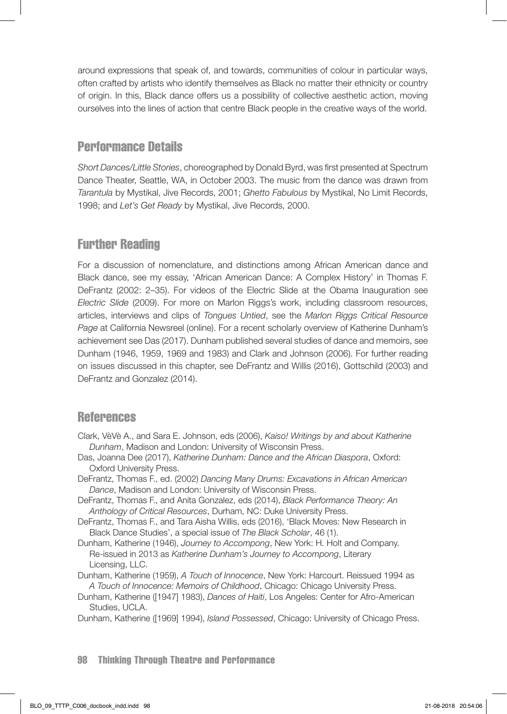around expressions that speak of, and towards, communities of colour in particular ways, often crafted by artists who identify themselves as Black no matter their ethnicity or country of origin. In this, Black dance offers us a possibility of collective aesthetic action, moving ourselves into the lines of action that centre Black people in the creative ways of the world.

### Performance Details

*Short Dances/Little Stories*, choreographed by Donald Byrd, was first presented at Spectrum Dance Theater, Seattle, WA, in October 2003. The music from the dance was drawn from *Tarantula* by Mystikal, Jive Records, 2001; *Ghetto Fabulous* by Mystikal, No Limit Records, 1998; and *Let's Get Ready* by Mystikal, Jive Records, 2000.

# Further Reading

For a discussion of nomenclature, and distinctions among African American dance and Black dance, see my essay, 'African American Dance: A Complex History' in Thomas F. DeFrantz (2002: 2–35). For videos of the Electric Slide at the Obama Inauguration see *Electric Slide* (2009). For more on Marlon Riggs's work, including classroom resources, articles, interviews and clips of *Tongues Untied*, see the *Marlon Riggs Critical Resource Page* at California Newsreel (online). For a recent scholarly overview of Katherine Dunham's achievement see Das (2017). Dunham published several studies of dance and memoirs, see Dunham (1946, 1959, 1969 and 1983) and Clark and Johnson (2006). For further reading on issues discussed in this chapter, see DeFrantz and Willis (2016), Gottschild (2003) and DeFrantz and Gonzalez (2014).

#### References

- Clark, VèVè A., and Sara E. Johnson, eds (2006), *Kaiso! Writings by and about Katherine Dunham*, Madison and London: University of Wisconsin Press.
- Das, Joanna Dee (2017), *Katherine Dunham: Dance and the African Diaspora*, Oxford: Oxford University Press.
- DeFrantz, Thomas F., ed. (2002) *Dancing Many Drums: Excavations in African American Dance*, Madison and London: University of Wisconsin Press.
- DeFrantz, Thomas F., and Anita Gonzalez, eds (2014), *Black Performance Theory: An Anthology of Critical Resources*, Durham, NC: Duke University Press.
- DeFrantz, Thomas F., and Tara Aisha Willis, eds (2016), 'Black Moves: New Research in Black Dance Studies', a special issue of *The Black Scholar*, 46 (1).
- Dunham, Katherine (1946), *Journey to Accompong*, New York: H. Holt and Company. Re-issued in 2013 as *Katherine Dunham's Journey to Accompong*, Literary Licensing, LLC.
- Dunham, Katherine (1959), *A Touch of Innocence*, New York: Harcourt. Reissued 1994 as *A Touch of Innocence: Memoirs of Childhood*, Chicago: Chicago University Press.
- Dunham, Katherine ([1947] 1983), *Dances of Haiti*, Los Angeles: Center for Afro-American Studies, UCLA.
- Dunham, Katherine ([1969] 1994), *Island Possessed*, Chicago: University of Chicago Press.